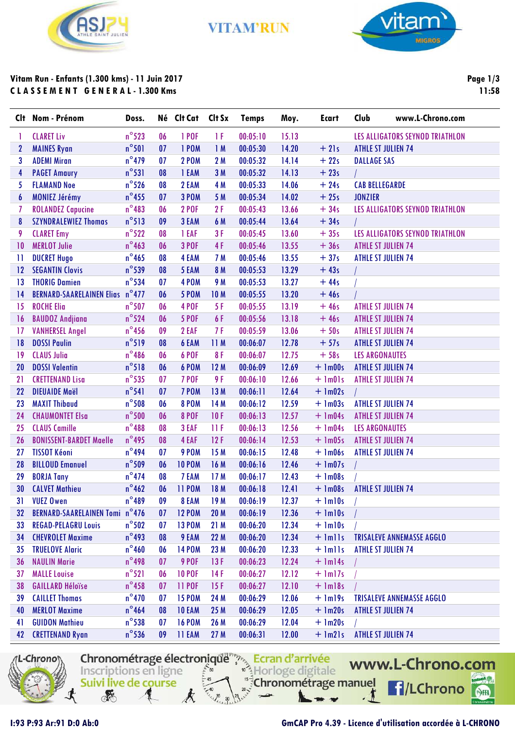

**VITAM'RUN** 



# Vitam Run - Enfants (1.300 kms) - 11 Juin 2017 **CLASSEMENT GENERAL-1.300 Kms**

Page  $1/3$ 11:58

| Clt.                    | Nom - Prénom                          | Doss.           |    | Né Clt Cat Clt Sx |            | <b>Temps</b> | Moy.  | <b>Ecart</b>     | Club<br>www.L-Chrono.com         |  |
|-------------------------|---------------------------------------|-----------------|----|-------------------|------------|--------------|-------|------------------|----------------------------------|--|
| T                       | <b>CLARET Liv</b>                     | $n^{\circ}$ 523 | 06 | 1 POF             | ΤF         | 00:05:10     | 15.13 |                  | LES ALLIGATORS SEYNOD TRIATHLON  |  |
| $\mathbf{2}$            | <b>MAINES Ryan</b>                    | $n^{\circ}501$  | 07 | 1 POM             | 1M         | 00:05:30     | 14.20 | $+21s$           | <b>ATHLE ST JULIEN 74</b>        |  |
| 3                       | <b>ADEMI Miran</b>                    | $n^{\circ}$ 479 | 07 | <b>2 POM</b>      | 2M         | 00:05:32     | 14.14 | $+22s$           | <b>DALLAGE SAS</b>               |  |
| $\overline{\mathbf{r}}$ | <b>PAGET Amaury</b>                   | $n^{\circ}531$  | 08 | 1 EAM             | 3M         | 00:05:32     | 14.13 | $+23s$           |                                  |  |
| 5                       | <b>FLAMAND Noe</b>                    | $n^{\circ}$ 526 | 08 | 2 EAM             | 4 M        | 00:05:33     | 14.06 | $+24s$           | <b>CAB BELLEGARDE</b>            |  |
| 6                       | <b>MONIEZ Jérémy</b>                  | $n^{\circ}$ 455 | 07 | 3 POM             | 5 M        | 00:05:34     | 14.02 | $+25s$           | <b>JONZIER</b>                   |  |
| 7                       | <b>ROLANDEZ Capucine</b>              | $n^{\circ}483$  | 06 | <b>2 POF</b>      | 2F         | 00:05:43     | 13.66 | $+34s$           | LES ALLIGATORS SEYNOD TRIATHLON  |  |
| 8                       | <b>SZYNDRALEWIEZ Thomas</b>           | $n^{\circ}513$  | 09 | 3 EAM             | 6 M        | 00:05:44     | 13.64 | $+34s$           |                                  |  |
| 9                       | <b>CLARET Emy</b>                     | $n^{\circ}522$  | 08 | 1 EAF             | 3F         | 00:05:45     | 13.60 | $+35s$           | LES ALLIGATORS SEYNOD TRIATHLON  |  |
| 10                      | <b>MERLOT Julie</b>                   | $n^{\circ}$ 463 | 06 | <b>3 POF</b>      | 4F         | 00:05:46     | 13.55 | $+36s$           | <b>ATHLE ST JULIEN 74</b>        |  |
| $\mathbf{I}$            | <b>DUCRET Hugo</b>                    | $n^{\circ}$ 465 | 08 | 4 EAM             | 7 M        | 00:05:46     | 13.55 | $+37s$           | <b>ATHLE ST JULIEN 74</b>        |  |
| 12                      | <b>SEGANTIN Clovis</b>                | $n^{\circ}$ 539 | 08 | 5 EAM             | 8 M        | 00:05:53     | 13.29 | $+43s$           |                                  |  |
| 13                      | <b>THORIG Damien</b>                  | $n^{\circ}$ 534 | 07 | 4 POM             | 9 M        | 00:05:53     | 13.27 | $+44s$           |                                  |  |
| 14                      | BERNARD-SAARELAINEN Elias n°477       |                 | 06 | <b>5 POM</b>      | <b>10M</b> | 00:05:55     | 13.20 | $+46s$           |                                  |  |
| 15                      | <b>ROCHE Elia</b>                     | $n^{\circ}507$  | 06 | 4 POF             | 5F         | 00:05:55     | 13.19 | $+46s$           | <b>ATHLE ST JULIEN 74</b>        |  |
| 16                      | <b>BAUDOZ Andjiana</b>                | $n^{\circ}$ 524 | 06 | <b>5 POF</b>      | 6F         | 00:05:56     | 13.18 | $+46s$           | <b>ATHLE ST JULIEN 74</b>        |  |
| 17                      | <b>VANHERSEL Angel</b>                | $n^{\circ}$ 456 | 09 | 2 EAF             | 7 F        | 00:05:59     | 13.06 | $+50s$           | <b>ATHLE ST JULIEN 74</b>        |  |
| 18                      | <b>DOSSI Paulin</b>                   | $n^{\circ}519$  | 08 | 6 EAM             | 11 M       | 00:06:07     | 12.78 | $+57s$           | <b>ATHLE ST JULIEN 74</b>        |  |
| 19                      | <b>CLAUS Julia</b>                    | $n^{\circ}$ 486 | 06 | 6 POF             | 8F         | 00:06:07     | 12.75 | $+58s$           | <b>LES ARGONAUTES</b>            |  |
| 20                      | <b>DOSSI Valentin</b>                 | $n^{\circ}518$  | 06 | 6 POM             | 12M        | 00:06:09     | 12.69 | $+$ 1m00s        | <b>ATHLE ST JULIEN 74</b>        |  |
| 21                      | <b>CRETTENAND Lisa</b>                | $n^{\circ}$ 535 | 07 | <b>7 POF</b>      | 9 F        | 00:06:10     | 12.66 | $+$ 1m01s        | <b>ATHLE ST JULIEN 74</b>        |  |
| 22                      | <b>DIEUAIDE Maël</b>                  | $n^{\circ}541$  | 07 | 7 POM             | 13 M       | 00:06:11     | 12.64 | $+$ 1m02s        |                                  |  |
| 23                      | <b>MAXIT Thibaud</b>                  | $n^{\circ}$ 508 | 06 | <b>8 POM</b>      | 14 M       | 00:06:12     | 12.59 | $+ \text{lm03s}$ | <b>ATHLE ST JULIEN 74</b>        |  |
| 24                      | <b>CHAUMONTET Elsa</b>                | $n^{\circ}$ 500 | 06 | <b>8 POF</b>      | 10F        | 00:06:13     | 12.57 | $+$ 1m04s        | <b>ATHLE ST JULIEN 74</b>        |  |
| 25                      | <b>CLAUS Camille</b>                  | $n^{\circ}488$  | 08 | 3 EAF             | 11F        | 00:06:13     | 12.56 | $+$ 1m04s        | <b>LES ARGONAUTES</b>            |  |
| 26                      | <b>BONISSENT-BARDET Maelle</b>        | $n^{\circ}$ 495 | 08 | 4 EAF             | 12F        | 00:06:14     | 12.53 | $+$ 1m05s        | <b>ATHLE ST JULIEN 74</b>        |  |
| 27                      | <b>TISSOT Kéoni</b>                   | $n^{\circ}$ 494 | 07 | 9 POM             | 15 M       | 00:06:15     | 12.48 | $+$ 1m06s        | <b>ATHLE ST JULIEN 74</b>        |  |
| 28                      | <b>BILLOUD Emanuel</b>                | $n^{\circ}$ 509 | 06 | <b>10 POM</b>     | 16 M       | 00:06:16     | 12.46 | $+$ 1m07s        |                                  |  |
| 29                      | <b>BORJA Tany</b>                     | $n^{\circ}474$  | 08 | 7 EAM             | 17M        | 00:06:17     | 12.43 | $+$ 1m08s        |                                  |  |
| 30                      | <b>CALVET Mathieu</b>                 | $n^{\circ}462$  | 06 | <b>11 POM</b>     | 18 M       | 00:06:18     | 12.41 | $+$ 1m08s        | <b>ATHLE ST JULIEN 74</b>        |  |
| 31                      | <b>VUEZ Owen</b>                      | $n^{\circ}489$  | 09 | 8 EAM             | 19 M       | 00:06:19     | 12.37 | $+$ $lm10s$      |                                  |  |
| 32 <sub>2</sub>         | <b>BERNARD-SAARELAINEN Tomi n°476</b> |                 | 07 | <b>12 POM</b>     | 20 M       | 00:06:19     | 12.36 | $+$ $lm10s$      |                                  |  |
| 33                      | <b>REGAD-PELAGRU Louis</b>            | $n^{\circ}502$  | 07 | <b>13 POM</b>     | 21M        | 00:06:20     | 12.34 | $+$ $lm10s$      |                                  |  |
| 34                      | <b>CHEVROLET Maxime</b>               | $n^{\circ}$ 493 | 08 | 9 EAM             | 22M        | 00:06:20     | 12.34 | $+$ $lmlls$      | <b>TRISALEVE ANNEMASSE AGGLO</b> |  |
| 35                      | <b>TRUELOVE Alaric</b>                | $n^{\circ}$ 460 | 06 | <b>14 POM</b>     | 23 M       | 00:06:20     | 12.33 | $+$ $lm$ $ls$    | <b>ATHLE ST JULIEN 74</b>        |  |
| 36                      | <b>NAULIN Marie</b>                   | $n^{\circ}$ 498 | 07 | 9 POF             | 13F        | 00:06:23     | 12.24 | $+$ 1m14s        |                                  |  |
| 37                      | <b>MALLE Louise</b>                   | $n^{\circ}521$  | 06 | <b>10 POF</b>     | 14F        | 00:06:27     | 12.12 | $+$ 1m17s        |                                  |  |
| 38                      | <b>GAILLARD Héloïse</b>               | $n^{\circ}$ 458 | 07 | 11 POF            | 15F        | 00:06:27     | 12.10 | $+$ $lm18s$      |                                  |  |
| 39                      | <b>CAILLET Thomas</b>                 | $n^{\circ}470$  | 07 | <b>15 POM</b>     | 24 M       | 00:06:29     | 12.06 | $+$ $lm19s$      | <b>TRISALEVE ANNEMASSE AGGLO</b> |  |
| 40                      | <b>MERLOT Maxime</b>                  | $n^{\circ}$ 464 | 08 | <b>10 EAM</b>     | 25M        | 00:06:29     | 12.05 | $+$ 1m20s        | <b>ATHLE ST JULIEN 74</b>        |  |
| 41                      | <b>GUIDON Mathieu</b>                 | $n^{\circ}$ 538 | 07 | <b>16 POM</b>     | 26 M       | 00:06:29     | 12.04 | $+$ 1m20s        |                                  |  |
| 42                      | <b>CRETTENAND Ryan</b>                | $n^{\circ}$ 536 | 09 | <b>11 EAM</b>     | 27M        | 00:06:31     | 12.00 | $+$ $lm21s$      | <b>ATHLE ST JULIEN 74</b>        |  |



Chronométrage électronique results Ecran d'arrivée Inscriptions en ligne  $\frac{1}{2}$ 50 Suivi live de course

F

Horloge digitale

www.L-Chrono.com Chronométrage manuel **f**/LChrono SHA  $\sqrt{2}$ 

```
1:93 P:93 Ar:91 D:0 Ab:0
```
### GmCAP Pro 4.39 - Licence d'utilisation accordée à L-CHRONO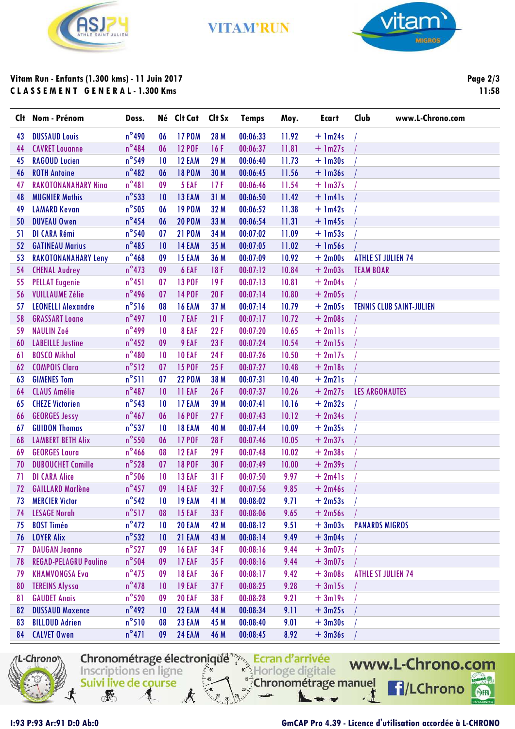

**VITAM'RUN** 



# **Vitam Run - Enfants (1.300 kms) - 11 Juin 2017 C L A S S E M E N T G E N E R A L - 1.300 Kms**

**Page 2/3 11:58**

|    | Clt Nom - Prénom             | Doss.           |                 | Né Clt Cat    | Clt Sx | <b>Temps</b> | Moy.  | <b>Ecart</b> | Club                      | www.L-Chrono.com                |
|----|------------------------------|-----------------|-----------------|---------------|--------|--------------|-------|--------------|---------------------------|---------------------------------|
| 43 | <b>DUSSAUD Louis</b>         | $n^{\circ}$ 490 | 06              | <b>17 POM</b> | 28 M   | 00:06:33     | 11.92 | $+$ 1m24s    |                           |                                 |
| 44 | <b>CAVRET Louanne</b>        | $n^{\circ}$ 484 | 06              | <b>12 POF</b> | 16F    | 00:06:37     | 11.81 | $+$ 1m27s    |                           |                                 |
| 45 | <b>RAGOUD Lucien</b>         | $n^{\circ}$ 549 | 10              | 12 EAM        | 29 M   | 00:06:40     | 11.73 | $+$ 1m30s    |                           |                                 |
| 46 | <b>ROTH Antoine</b>          | $n^{\circ}482$  | 06              | <b>18 POM</b> | 30 M   | 00:06:45     | 11.56 | $+$ $lm36s$  |                           |                                 |
| 47 | <b>RAKOTONANAHARY Ning</b>   | $n^{\circ}481$  | 09              | 5 EAF         | 17F    | 00:06:46     | 11.54 | $+$ 1m37s    |                           |                                 |
| 48 | <b>MUGNIER Mathis</b>        | $n^{\circ}$ 533 | 10              | 13 EAM        | 31 M   | 00:06:50     | 11.42 | $+$ 1m41s    |                           |                                 |
| 49 | <b>LAMARD Kevan</b>          | $n^{\circ}$ 505 | 06              | <b>19 POM</b> | 32 M   | 00:06:52     | 11.38 | $+$ 1m42s    |                           |                                 |
| 50 | <b>DUVEAU Owen</b>           | $n^{\circ}$ 454 | 06              | <b>20 POM</b> | 33 M   | 00:06:54     | 11.31 | $+$ 1m45s    |                           |                                 |
| 51 | DI CARA Rémi                 | $n^{\circ}$ 540 | 07              | <b>21 POM</b> | 34 M   | 00:07:02     | 11.09 | $+$ 1m53s    |                           |                                 |
| 52 | <b>GATINEAU Marius</b>       | $n^{\circ}485$  | 10              | 14 EAM        | 35 M   | 00:07:05     | 11.02 | $+$ 1m56s    |                           |                                 |
| 53 | <b>RAKOTONANAHARY Leny</b>   | $n^{\circ}$ 468 | 09              | 15 EAM        | 36 M   | 00:07:09     | 10.92 | $+2m00s$     | <b>ATHLE ST JULIEN 74</b> |                                 |
| 54 | <b>CHENAL Audrey</b>         | $n^{\circ}473$  | 09              | 6 EAF         | 18F    | 00:07:12     | 10.84 | $+2m03s$     | <b>TEAM BOAR</b>          |                                 |
| 55 | <b>PELLAT Eugenie</b>        | $n^{\circ}451$  | 07              | <b>13 POF</b> | 19F    | 00:07:13     | 10.81 | $+2m04s$     |                           |                                 |
| 56 | <b>VUILLAUME Zélie</b>       | $n^{\circ}$ 496 | 07              | <b>14 POF</b> | 20F    | 00:07:14     | 10.80 | $+2m05s$     |                           |                                 |
| 57 | <b>LEONELLI Alexandre</b>    | $n^{\circ}516$  | 08              | 16 EAM        | 37 M   | 00:07:14     | 10.79 | $+2m05s$     |                           | <b>TENNIS CLUB SAINT-JULIEN</b> |
| 58 | <b>GRASSART Loane</b>        | $n^{\circ}$ 497 | 10              | 7 EAF         | 21F    | 00:07:17     | 10.72 | $+2m08s$     |                           |                                 |
| 59 | <b>NAULIN Zoé</b>            | $n^{\circ}$ 499 | 10              | 8 EAF         | 22F    | 00:07:20     | 10.65 | $+ 2$ mlls   |                           |                                 |
| 60 | <b>LABEILLE Justine</b>      | $n^{\circ}$ 452 | 09              | 9 EAF         | 23F    | 00:07:24     | 10.54 | $+2m15s$     |                           |                                 |
| 61 | <b>BOSCO Mikhal</b>          | $n^{\circ}480$  | 10              | <b>10 EAF</b> | 24F    | 00:07:26     | 10.50 | $+2ml7s$     |                           |                                 |
| 62 | <b>COMPOIS Clara</b>         | $n^{\circ}512$  | 07              | <b>15 POF</b> | 25F    | 00:07:27     | 10.48 | $+2ml8s$     |                           |                                 |
| 63 | <b>GIMENES Tom</b>           | $n^{\circ}511$  | 07              | <b>22 POM</b> | 38 M   | 00:07:31     | 10.40 | $+2m21s$     |                           |                                 |
| 64 | <b>CLAUS Amélie</b>          | $n^{\circ}487$  | 10              | <b>11 EAF</b> | 26F    | 00:07:37     | 10.26 | $+2m27s$     | <b>LES ARGONAUTES</b>     |                                 |
| 65 | <b>CHEZE Victorien</b>       | $n^{\circ}$ 543 | 10              | 17 EAM        | 39 M   | 00:07:41     | 10.16 | $+2m32s$     |                           |                                 |
| 66 | <b>GEORGES Jessy</b>         | $n^{\circ}$ 467 | 06              | <b>16 POF</b> | 27F    | 00:07:43     | 10.12 | $+2m34s$     |                           |                                 |
| 67 | <b>GUIDON Thomas</b>         | $n^{\circ}$ 537 | 10              | 18 EAM        | 40 M   | 00:07:44     | 10.09 | $+2m35s$     |                           |                                 |
| 68 | <b>LAMBERT BETH Alix</b>     | $n^{\circ}$ 550 | 06              | <b>17 POF</b> | 28F    | 00:07:46     | 10.05 | $+2m37s$     |                           |                                 |
| 69 | <b>GEORGES Laura</b>         | $n^{\circ}$ 466 | 08              | 12 EAF        | 29F    | 00:07:48     | 10.02 | $+2m38s$     |                           |                                 |
| 70 | <b>DUBOUCHET Camille</b>     | $n^{\circ}$ 528 | 07              | <b>18 POF</b> | 30F    | 00:07:49     | 10.00 | $+2m39s$     |                           |                                 |
| 71 | <b>DI CARA Alice</b>         | $n^{\circ}$ 506 | 10              | 13 EAF        | 31F    | 00:07:50     | 9.97  | $+ 2m41s$    |                           |                                 |
| 72 | <b>GAILLARD Marlène</b>      | $n^{\circ}$ 457 | 09              | <b>14 EAF</b> | 32F    | 00:07:56     | 9.85  | $+2m46s$     |                           |                                 |
| 73 | <b>MERCIER Victor</b>        | $n^{\circ}542$  | 10              | 19 EAM        | 41 M   | 00:08:02     | 9.71  | $+2m53s$     |                           |                                 |
| 74 | <b>LESAGE Norah</b>          | $n^{\circ}517$  | 08              | <b>15 EAF</b> | 33 F   | 00:08:06     | 9.65  | $+2m56s$     |                           |                                 |
| 75 | <b>BOST Timéo</b>            | $n^{\circ}472$  | $\overline{10}$ | 20 EAM        | 42 M   | 00:08:12     | 9.51  | $+3m03s$     | <b>PANARDS MIGROS</b>     |                                 |
| 76 | <b>LOYER Alix</b>            | $n^{\circ}$ 532 | 10              | 21 EAM        | 43 M   | 00:08:14     | 9.49  | $+3m04s$     |                           |                                 |
| 77 | <b>DAUGAN Jeanne</b>         | $n^{\circ}$ 527 | 09              | <b>16 EAF</b> | 34 F   | 00:08:16     | 9.44  | $+3m07s$     |                           |                                 |
| 78 | <b>REGAD-PELAGRU Pauline</b> | $n^{\circ}$ 504 | 09              | 17 EAF        | 35F    | 00:08:16     | 9.44  | $+3m07s$     |                           |                                 |
| 79 | <b>KHAMVONGSA Eva</b>        | $n^{\circ}$ 475 | 09              | <b>18 EAF</b> | 36 F   | 00:08:17     | 9.42  | $+3m08s$     | <b>ATHLE ST JULIEN 74</b> |                                 |
| 80 | <b>TEREINS Alyssa</b>        | $n^{\circ}$ 478 | 10              | <b>19 EAF</b> | 37F    | 00:08:25     | 9.28  | $+3m15s$     |                           |                                 |
| 81 | <b>GAUDET Anais</b>          | $n^{\circ}520$  | 09              | <b>20 EAF</b> | 38 F   | 00:08:28     | 9.21  | $+3m19s$     |                           |                                 |
| 82 | <b>DUSSAUD Maxence</b>       | $n^{\circ}$ 492 | 10              | 22 EAM        | 44 M   | 00:08:34     | 9.11  | $+3m25s$     |                           |                                 |
| 83 | <b>BILLOUD Adrien</b>        | $n^{\circ}510$  | 08              | 23 EAM        | 45 M   | 00:08:40     | 9.01  | $+3m30s$     |                           |                                 |
| 84 | <b>CALVET Owen</b>           | $n^{\circ}471$  | 09              | 24 EAM        | 46 M   | 00:08:45     | 8.92  | $+3m36s$     |                           |                                 |

L-Chrono Х Ecran d'arrivée<br>Inscriptions en ligne Chronométrage manuel Suivi live de course

www.L-Chrono.com **f**/LChrono  $\overline{\mathbf{I}}$ SHA

**REA** 

### **I:93 P:93 Ar:91 D:0 Ab:0 GmCAP Pro 4.39 - Licence d'utilisation accordée à L-CHRONO**